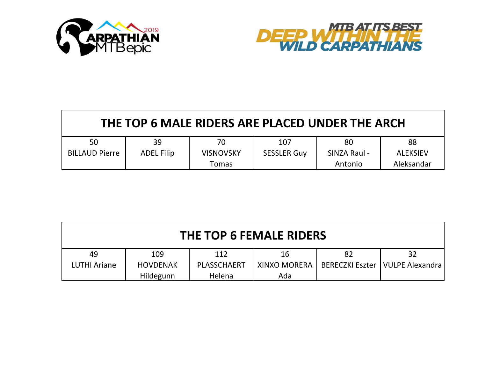



| THE TOP 6 MALE RIDERS ARE PLACED UNDER THE ARCH |                   |                  |                    |              |                 |  |  |
|-------------------------------------------------|-------------------|------------------|--------------------|--------------|-----------------|--|--|
| 50                                              | 39                | 70               | 107                | 80           | 88              |  |  |
| <b>BILLAUD Pierre</b>                           | <b>ADEL Filip</b> | <b>VISNOVSKY</b> | <b>SESSLER Guy</b> | SINZA Raul - | <b>ALEKSIEV</b> |  |  |
|                                                 |                   | <b>Tomas</b>     |                    | Antonio      | Aleksandar      |  |  |

| <b>THE TOP 6 FEMALE RIDERS</b> |                 |             |                     |    |                                   |  |  |
|--------------------------------|-----------------|-------------|---------------------|----|-----------------------------------|--|--|
| 49                             | 109             | 112         | 16                  | 82 | 32                                |  |  |
| LUTHI Ariane                   | <b>HOVDENAK</b> | PLASSCHAERT | <b>XINXO MORERA</b> |    | BERECZKI Eszter   VULPE Alexandra |  |  |
|                                | Hildegunn       | Helena      | Ada                 |    |                                   |  |  |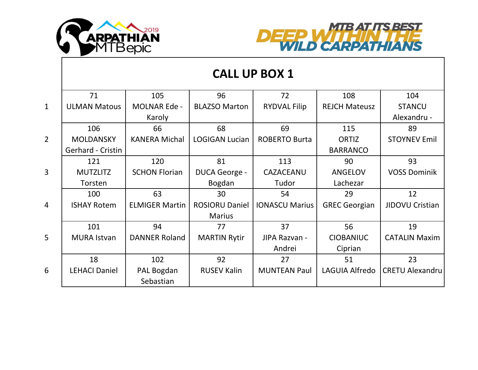



|                | <b>CALL UP BOX 1</b> |                       |                       |                       |                      |                        |  |
|----------------|----------------------|-----------------------|-----------------------|-----------------------|----------------------|------------------------|--|
|                | 71                   | 105                   | 96                    | 72                    | 108                  | 104                    |  |
| $\mathbf{1}$   | <b>ULMAN Matous</b>  | <b>MOLNAR Ede -</b>   | <b>BLAZSO Marton</b>  | <b>RYDVAL Filip</b>   | <b>REJCH Mateusz</b> | <b>STANCU</b>          |  |
|                |                      | Karoly                |                       |                       |                      | Alexandru -            |  |
|                | 106                  | 66                    | 68                    | 69                    | 115                  | 89                     |  |
| $\overline{2}$ | <b>MOLDANSKY</b>     | <b>KANERA Michal</b>  | <b>LOGIGAN Lucian</b> | <b>ROBERTO Burta</b>  | <b>ORTIZ</b>         | <b>STOYNEV Emil</b>    |  |
|                | Gerhard - Cristin    |                       |                       |                       | <b>BARRANCO</b>      |                        |  |
|                | 121                  | 120                   | 81                    | 113                   | 90                   | 93                     |  |
| $\overline{3}$ | <b>MUTZLITZ</b>      | <b>SCHON Florian</b>  | DUCA George -         | CAZACEANU             | <b>ANGELOV</b>       | <b>VOSS Dominik</b>    |  |
|                | Torsten              |                       | Bogdan                | Tudor                 | Lachezar             |                        |  |
|                | 100                  | 63                    | 30                    | 54                    | 29                   | 12                     |  |
| $\overline{4}$ | <b>ISHAY Rotem</b>   | <b>ELMIGER Martin</b> | <b>ROSIORU Daniel</b> | <b>IONASCU Marius</b> | <b>GREC Georgian</b> | JIDOVU Cristian        |  |
|                |                      |                       | <b>Marius</b>         |                       |                      |                        |  |
|                | 101                  | 94                    | 77                    | 37                    | 56                   | 19                     |  |
| 5              | <b>MURA Istvan</b>   | <b>DANNER Roland</b>  | <b>MARTIN Rytir</b>   | JIPA Razvan -         | <b>CIOBANIUC</b>     | <b>CATALIN Maxim</b>   |  |
|                |                      |                       |                       | Andrei                | Ciprian              |                        |  |
|                | 18                   | 102                   | 92                    | 27                    | 51                   | 23                     |  |
| 6              | <b>LEHACI Daniel</b> | PAL Bogdan            | <b>RUSEV Kalin</b>    | <b>MUNTEAN Paul</b>   | LAGUIA Alfredo       | <b>CRETU Alexandru</b> |  |
|                |                      | Sebastian             |                       |                       |                      |                        |  |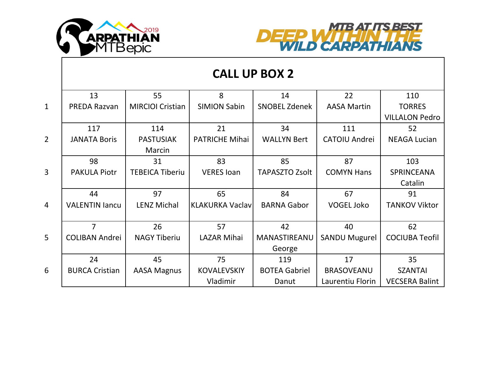



|                | <b>CALL UP BOX 2</b>  |                         |                        |                       |                      |                       |  |
|----------------|-----------------------|-------------------------|------------------------|-----------------------|----------------------|-----------------------|--|
|                | 13                    | 55                      | 8                      | 14                    | 22                   | 110                   |  |
| $\mathbf{1}$   | <b>PREDA Razvan</b>   | <b>MIRCIOI Cristian</b> | <b>SIMION Sabin</b>    | <b>SNOBEL Zdenek</b>  | <b>AASA Martin</b>   | <b>TORRES</b>         |  |
|                |                       |                         |                        |                       |                      | <b>VILLALON Pedro</b> |  |
|                | 117                   | 114                     | 21                     | 34                    | 111                  | 52                    |  |
| $\overline{2}$ | <b>JANATA Boris</b>   | <b>PASTUSIAK</b>        | <b>PATRICHE Mihai</b>  | <b>WALLYN Bert</b>    | <b>CATOIU Andrei</b> | <b>NEAGA Lucian</b>   |  |
|                |                       | Marcin                  |                        |                       |                      |                       |  |
|                | 98                    | 31                      | 83                     | 85                    | 87                   | 103                   |  |
| $\overline{3}$ | <b>PAKULA Piotr</b>   | <b>TEBEICA Tiberiu</b>  | <b>VERES</b> Ioan      | <b>TAPASZTO Zsolt</b> | <b>COMYN Hans</b>    | SPRINCEANA            |  |
|                |                       |                         |                        |                       |                      | Catalin               |  |
|                | 44                    | 97                      | 65                     | 84                    | 67                   | 91                    |  |
| $\overline{4}$ | <b>VALENTIN lancu</b> | <b>LENZ Michal</b>      | <b>KLAKURKA Vaclav</b> | <b>BARNA Gabor</b>    | <b>VOGEL Joko</b>    | <b>TANKOV Viktor</b>  |  |
|                |                       |                         |                        |                       |                      |                       |  |
|                | $\overline{7}$        | 26                      | 57                     | 42                    | 40                   | 62                    |  |
| 5              | <b>COLIBAN Andrei</b> | <b>NAGY Tiberiu</b>     | <b>LAZAR Mihai</b>     | MANASTIREANU          | <b>SANDU Mugurel</b> | <b>COCIUBA Teofil</b> |  |
|                |                       |                         |                        | George                |                      |                       |  |
|                | 24                    | 45                      | 75                     | 119                   | 17                   | 35                    |  |
| 6              | <b>BURCA Cristian</b> | <b>AASA Magnus</b>      | <b>KOVALEVSKIY</b>     | <b>BOTEA Gabriel</b>  | <b>BRASOVEANU</b>    | <b>SZANTAI</b>        |  |
|                |                       |                         | Vladimir               | Danut                 | Laurentiu Florin     | <b>VECSERA Balint</b> |  |